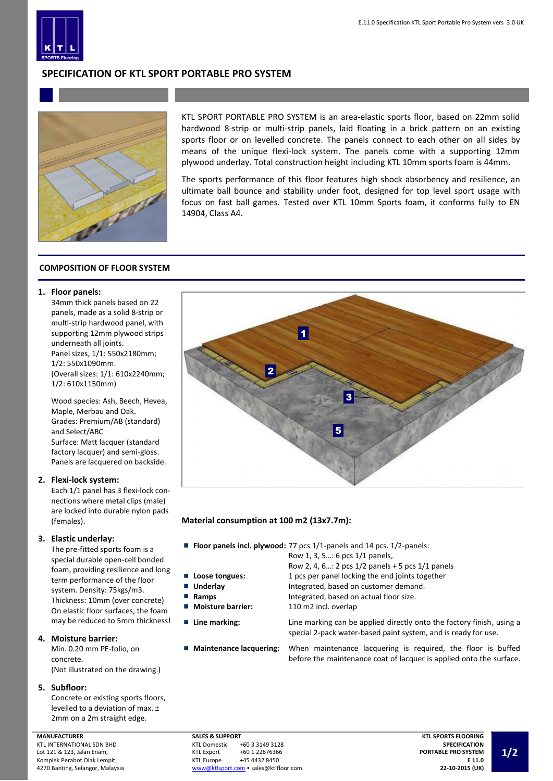

# **SPECIFICATION OF KTL SPORT PORTABLE PRO SYSTEM**



KTL SPORT PORTABLE PRO SYSTEM is an area-elastic sports floor, based on 22mm solid hardwood 8-strip or multi-strip panels, laid floating in a brick pattern on an existing sports floor or on levelled concrete. The panels connect to each other on all sides by means of the unique flexi-lock system. The panels come with a supporting 12mm plywood underlay. Total construction height including KTL 10mm sports foam is 44mm.

The sports performance of this floor features high shock absorbency and resilience, an ultimate ball bounce and stability under foot, designed for top level sport usage with focus on fast ball games. Tested over KTL 10mm Sports foam, it conforms fully to EN 14904, Class A4.

# **COMPOSITION OF FLOOR SYSTEM**

### **1. Floor panels:**

34mm thick panels based on 22 panels, made as a solid 8-strip or multi-strip hardwood panel, with supporting 12mm plywood strips underneath all joints. Panel sizes, 1/1: 550x2180mm; 1/2: 550x1090mm. (Overall sizes: 1/1: 610x2240mm; 1/2: 610x1150mm)

Wood species: Ash, Beech, Hevea, Maple, Merbau and Oak. Grades: Premium/AB (standard) and Select/ABC Surface: Matt lacquer (standard factory lacquer) and semi-gloss. Panels are lacquered on backside.

# **2. Flexi-lock system:**

Each 1/1 panel has 3 flexi-lock connections where metal clips (male) are locked into durable nylon pads (females).

# **3. Elastic underlay:**

The pre-fitted sports foam is a special durable open-cell bonded foam, providing resilience and long term performance of the floor system. Density: 75kgs/m3. Thickness: 10mm (over concrete) On elastic floor surfaces, the foam may be reduced to 5mm thickness!

# **4. Moisture barrier:**

Min. 0.20 mm PE-folio, on concrete. (Not illustrated on the drawing.)

#### **5. Subfloor:**

Concrete or existing sports floors, levelled to a deviation of max. ± 2mm on a 2m straight edge.



# **Material consumption at 100 m2 (13x7.7m):**

**Floor panels incl. plywood:** 77 pcs 1/1-panels and 14 pcs. 1/2-panels:

Row 1, 3, 5…: 6 pcs 1/1 panels,

- Row 2, 4, 6…: 2 pcs 1/2 panels + 5 pcs 1/1 panels
- **Loose tongues:** 1 pcs per panel locking the end joints together
- **Underlay** Integrated, based on customer demand.
- **Ramps Integrated, based on actual floor size.**
- Moisture barrier: 110 m2 incl. overlap

■ **Line marking:** Line marking can be applied directly onto the factory finish, using a special 2-pack water-based paint system, and is ready for use.